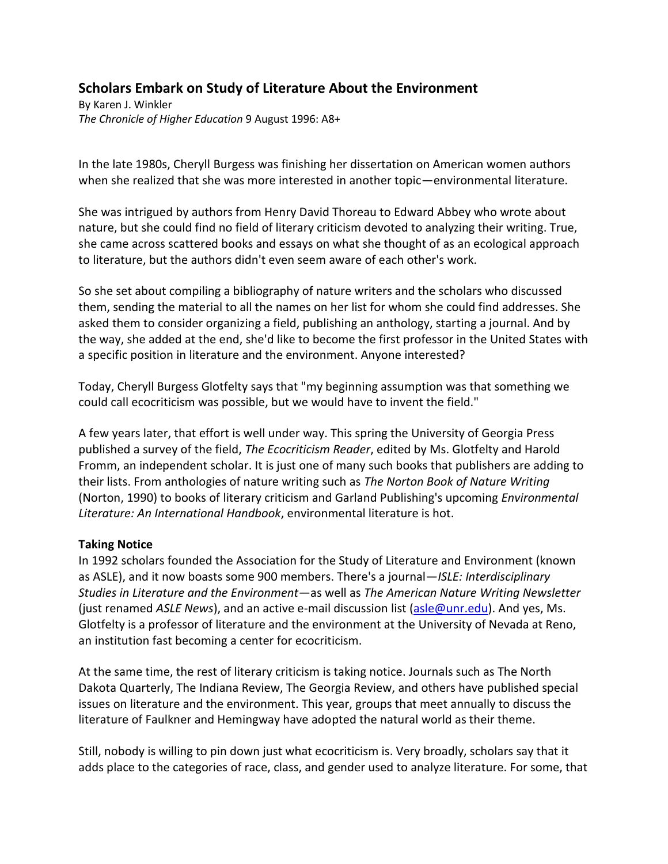# **Scholars Embark on Study of Literature About the Environment**

By Karen J. Winkler *The Chronicle of Higher Education* 9 August 1996: A8+

In the late 1980s, Cheryll Burgess was finishing her dissertation on American women authors when she realized that she was more interested in another topic—environmental literature.

She was intrigued by authors from Henry David Thoreau to Edward Abbey who wrote about nature, but she could find no field of literary criticism devoted to analyzing their writing. True, she came across scattered books and essays on what she thought of as an ecological approach to literature, but the authors didn't even seem aware of each other's work.

So she set about compiling a bibliography of nature writers and the scholars who discussed them, sending the material to all the names on her list for whom she could find addresses. She asked them to consider organizing a field, publishing an anthology, starting a journal. And by the way, she added at the end, she'd like to become the first professor in the United States with a specific position in literature and the environment. Anyone interested?

Today, Cheryll Burgess Glotfelty says that "my beginning assumption was that something we could call ecocriticism was possible, but we would have to invent the field."

A few years later, that effort is well under way. This spring the University of Georgia Press published a survey of the field, *The Ecocriticism Reader*, edited by Ms. Glotfelty and Harold Fromm, an independent scholar. It is just one of many such books that publishers are adding to their lists. From anthologies of nature writing such as *The Norton Book of Nature Writing* (Norton, 1990) to books of literary criticism and Garland Publishing's upcoming *Environmental Literature: An International Handbook*, environmental literature is hot.

#### **Taking Notice**

In 1992 scholars founded the Association for the Study of Literature and Environment (known as ASLE), and it now boasts some 900 members. There's a journal—*ISLE: Interdisciplinary Studies in Literature and the Environment*—as well as *The American Nature Writing Newsletter* (just renamed *ASLE News*), and an active e-mail discussion list [\(asle@unr.edu\)](mailto:asle@unr.edu). And yes, Ms. Glotfelty is a professor of literature and the environment at the University of Nevada at Reno, an institution fast becoming a center for ecocriticism.

At the same time, the rest of literary criticism is taking notice. Journals such as The North Dakota Quarterly, The Indiana Review, The Georgia Review, and others have published special issues on literature and the environment. This year, groups that meet annually to discuss the literature of Faulkner and Hemingway have adopted the natural world as their theme.

Still, nobody is willing to pin down just what ecocriticism is. Very broadly, scholars say that it adds place to the categories of race, class, and gender used to analyze literature. For some, that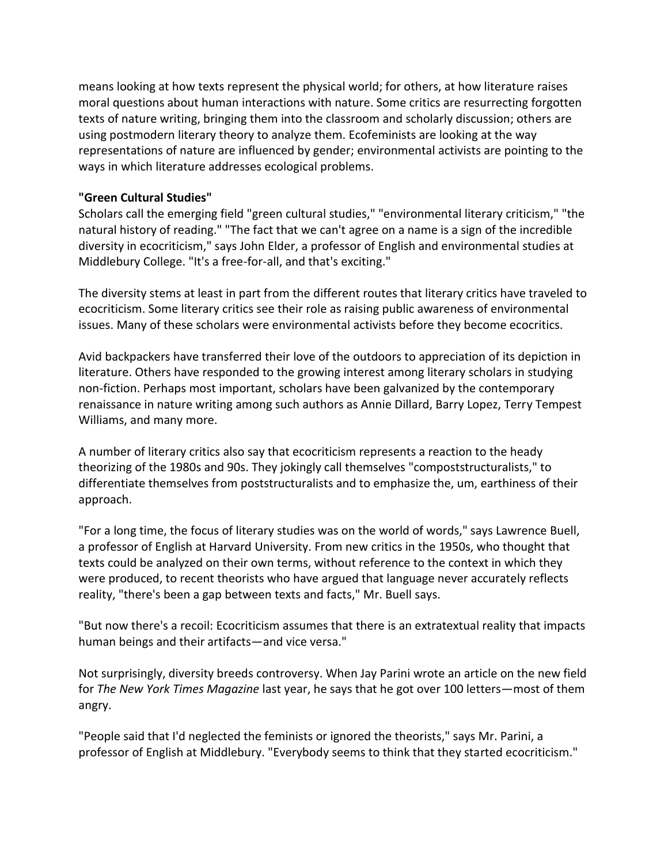means looking at how texts represent the physical world; for others, at how literature raises moral questions about human interactions with nature. Some critics are resurrecting forgotten texts of nature writing, bringing them into the classroom and scholarly discussion; others are using postmodern literary theory to analyze them. Ecofeminists are looking at the way representations of nature are influenced by gender; environmental activists are pointing to the ways in which literature addresses ecological problems.

### **"Green Cultural Studies"**

Scholars call the emerging field "green cultural studies," "environmental literary criticism," "the natural history of reading." "The fact that we can't agree on a name is a sign of the incredible diversity in ecocriticism," says John Elder, a professor of English and environmental studies at Middlebury College. "It's a free-for-all, and that's exciting."

The diversity stems at least in part from the different routes that literary critics have traveled to ecocriticism. Some literary critics see their role as raising public awareness of environmental issues. Many of these scholars were environmental activists before they become ecocritics.

Avid backpackers have transferred their love of the outdoors to appreciation of its depiction in literature. Others have responded to the growing interest among literary scholars in studying non-fiction. Perhaps most important, scholars have been galvanized by the contemporary renaissance in nature writing among such authors as Annie Dillard, Barry Lopez, Terry Tempest Williams, and many more.

A number of literary critics also say that ecocriticism represents a reaction to the heady theorizing of the 1980s and 90s. They jokingly call themselves "compoststructuralists," to differentiate themselves from poststructuralists and to emphasize the, um, earthiness of their approach.

"For a long time, the focus of literary studies was on the world of words," says Lawrence Buell, a professor of English at Harvard University. From new critics in the 1950s, who thought that texts could be analyzed on their own terms, without reference to the context in which they were produced, to recent theorists who have argued that language never accurately reflects reality, "there's been a gap between texts and facts," Mr. Buell says.

"But now there's a recoil: Ecocriticism assumes that there is an extratextual reality that impacts human beings and their artifacts—and vice versa."

Not surprisingly, diversity breeds controversy. When Jay Parini wrote an article on the new field for *The New York Times Magazine* last year, he says that he got over 100 letters—most of them angry.

"People said that I'd neglected the feminists or ignored the theorists," says Mr. Parini, a professor of English at Middlebury. "Everybody seems to think that they started ecocriticism."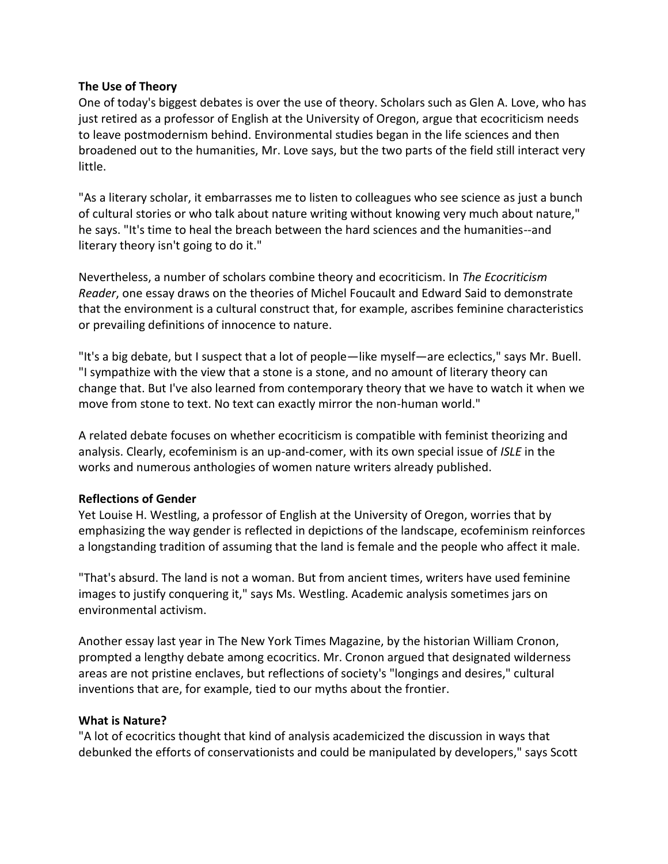#### **The Use of Theory**

One of today's biggest debates is over the use of theory. Scholars such as Glen A. Love, who has just retired as a professor of English at the University of Oregon, argue that ecocriticism needs to leave postmodernism behind. Environmental studies began in the life sciences and then broadened out to the humanities, Mr. Love says, but the two parts of the field still interact very little.

"As a literary scholar, it embarrasses me to listen to colleagues who see science as just a bunch of cultural stories or who talk about nature writing without knowing very much about nature," he says. "It's time to heal the breach between the hard sciences and the humanities--and literary theory isn't going to do it."

Nevertheless, a number of scholars combine theory and ecocriticism. In *The Ecocriticism Reader*, one essay draws on the theories of Michel Foucault and Edward Said to demonstrate that the environment is a cultural construct that, for example, ascribes feminine characteristics or prevailing definitions of innocence to nature.

"It's a big debate, but I suspect that a lot of people—like myself—are eclectics," says Mr. Buell. "I sympathize with the view that a stone is a stone, and no amount of literary theory can change that. But I've also learned from contemporary theory that we have to watch it when we move from stone to text. No text can exactly mirror the non-human world."

A related debate focuses on whether ecocriticism is compatible with feminist theorizing and analysis. Clearly, ecofeminism is an up-and-comer, with its own special issue of *ISLE* in the works and numerous anthologies of women nature writers already published.

#### **Reflections of Gender**

Yet Louise H. Westling, a professor of English at the University of Oregon, worries that by emphasizing the way gender is reflected in depictions of the landscape, ecofeminism reinforces a longstanding tradition of assuming that the land is female and the people who affect it male.

"That's absurd. The land is not a woman. But from ancient times, writers have used feminine images to justify conquering it," says Ms. Westling. Academic analysis sometimes jars on environmental activism.

Another essay last year in The New York Times Magazine, by the historian William Cronon, prompted a lengthy debate among ecocritics. Mr. Cronon argued that designated wilderness areas are not pristine enclaves, but reflections of society's "longings and desires," cultural inventions that are, for example, tied to our myths about the frontier.

#### **What is Nature?**

"A lot of ecocritics thought that kind of analysis academicized the discussion in ways that debunked the efforts of conservationists and could be manipulated by developers," says Scott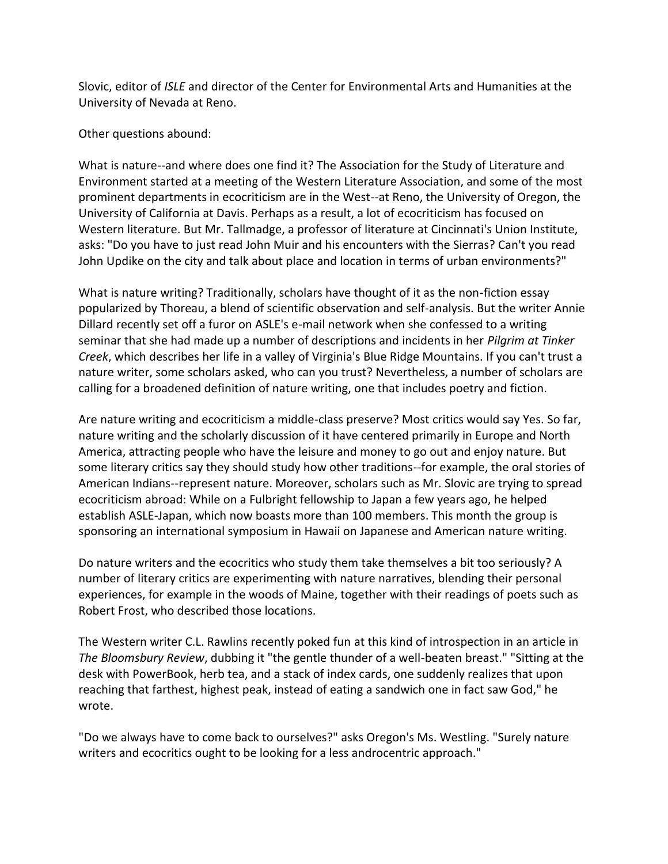Slovic, editor of *ISLE* and director of the Center for Environmental Arts and Humanities at the University of Nevada at Reno.

Other questions abound:

What is nature--and where does one find it? The Association for the Study of Literature and Environment started at a meeting of the Western Literature Association, and some of the most prominent departments in ecocriticism are in the West--at Reno, the University of Oregon, the University of California at Davis. Perhaps as a result, a lot of ecocriticism has focused on Western literature. But Mr. Tallmadge, a professor of literature at Cincinnati's Union Institute, asks: "Do you have to just read John Muir and his encounters with the Sierras? Can't you read John Updike on the city and talk about place and location in terms of urban environments?"

What is nature writing? Traditionally, scholars have thought of it as the non-fiction essay popularized by Thoreau, a blend of scientific observation and self-analysis. But the writer Annie Dillard recently set off a furor on ASLE's e-mail network when she confessed to a writing seminar that she had made up a number of descriptions and incidents in her *Pilgrim at Tinker Creek*, which describes her life in a valley of Virginia's Blue Ridge Mountains. If you can't trust a nature writer, some scholars asked, who can you trust? Nevertheless, a number of scholars are calling for a broadened definition of nature writing, one that includes poetry and fiction.

Are nature writing and ecocriticism a middle-class preserve? Most critics would say Yes. So far, nature writing and the scholarly discussion of it have centered primarily in Europe and North America, attracting people who have the leisure and money to go out and enjoy nature. But some literary critics say they should study how other traditions--for example, the oral stories of American Indians--represent nature. Moreover, scholars such as Mr. Slovic are trying to spread ecocriticism abroad: While on a Fulbright fellowship to Japan a few years ago, he helped establish ASLE-Japan, which now boasts more than 100 members. This month the group is sponsoring an international symposium in Hawaii on Japanese and American nature writing.

Do nature writers and the ecocritics who study them take themselves a bit too seriously? A number of literary critics are experimenting with nature narratives, blending their personal experiences, for example in the woods of Maine, together with their readings of poets such as Robert Frost, who described those locations.

The Western writer C.L. Rawlins recently poked fun at this kind of introspection in an article in *The Bloomsbury Review*, dubbing it "the gentle thunder of a well-beaten breast." "Sitting at the desk with PowerBook, herb tea, and a stack of index cards, one suddenly realizes that upon reaching that farthest, highest peak, instead of eating a sandwich one in fact saw God," he wrote.

"Do we always have to come back to ourselves?" asks Oregon's Ms. Westling. "Surely nature writers and ecocritics ought to be looking for a less androcentric approach."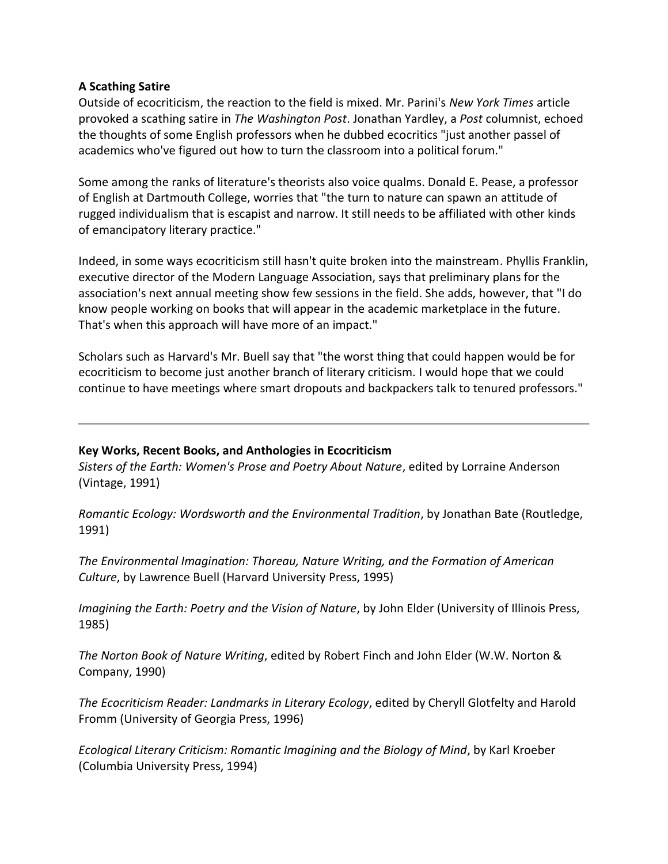#### **A Scathing Satire**

Outside of ecocriticism, the reaction to the field is mixed. Mr. Parini's *New York Times* article provoked a scathing satire in *The Washington Post*. Jonathan Yardley, a *Post* columnist, echoed the thoughts of some English professors when he dubbed ecocritics "just another passel of academics who've figured out how to turn the classroom into a political forum."

Some among the ranks of literature's theorists also voice qualms. Donald E. Pease, a professor of English at Dartmouth College, worries that "the turn to nature can spawn an attitude of rugged individualism that is escapist and narrow. It still needs to be affiliated with other kinds of emancipatory literary practice."

Indeed, in some ways ecocriticism still hasn't quite broken into the mainstream. Phyllis Franklin, executive director of the Modern Language Association, says that preliminary plans for the association's next annual meeting show few sessions in the field. She adds, however, that "I do know people working on books that will appear in the academic marketplace in the future. That's when this approach will have more of an impact."

Scholars such as Harvard's Mr. Buell say that "the worst thing that could happen would be for ecocriticism to become just another branch of literary criticism. I would hope that we could continue to have meetings where smart dropouts and backpackers talk to tenured professors."

## **Key Works, Recent Books, and Anthologies in Ecocriticism**

*Sisters of the Earth: Women's Prose and Poetry About Nature*, edited by Lorraine Anderson (Vintage, 1991)

*Romantic Ecology: Wordsworth and the Environmental Tradition*, by Jonathan Bate (Routledge, 1991)

*The Environmental Imagination: Thoreau, Nature Writing, and the Formation of American Culture*, by Lawrence Buell (Harvard University Press, 1995)

*Imagining the Earth: Poetry and the Vision of Nature*, by John Elder (University of Illinois Press, 1985)

*The Norton Book of Nature Writing*, edited by Robert Finch and John Elder (W.W. Norton & Company, 1990)

*The Ecocriticism Reader: Landmarks in Literary Ecology*, edited by Cheryll Glotfelty and Harold Fromm (University of Georgia Press, 1996)

*Ecological Literary Criticism: Romantic Imagining and the Biology of Mind*, by Karl Kroeber (Columbia University Press, 1994)